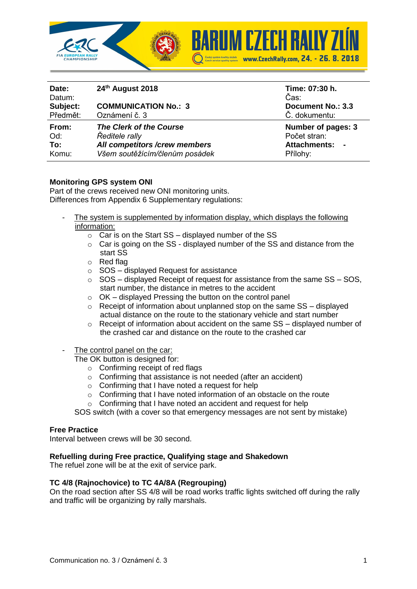

| Date:<br>Datum:<br>Subject:<br>Předmět: | 24th August 2018<br><b>COMMUNICATION No.: 3</b><br>Oznámení č. 3 | Time: 07:30 h.<br>Čas:<br><b>Document No.: 3.3</b><br>Č. dokumentu: |
|-----------------------------------------|------------------------------------------------------------------|---------------------------------------------------------------------|
| From:                                   | The Clerk of the Course                                          | Number of pages: 3                                                  |
| Od:                                     | Ředitele rally                                                   | Počet stran:                                                        |
| To:                                     | All competitors /crew members                                    | <b>Attachments:</b>                                                 |
| Komu:                                   | Všem soutěžícím/členům posádek                                   | Přílohy:                                                            |

# **Monitoring GPS system ONI**

Part of the crews received new ONI monitoring units. Differences from Appendix 6 Supplementary regulations:

- The system is supplemented by information display, which displays the following information:
	- $\circ$  Car is on the Start SS displayed number of the SS
	- o Car is going on the SS displayed number of the SS and distance from the start SS
	- o Red flag
	- $\circ$  SOS displayed Request for assistance
	- $\circ$  SOS displayed Receipt of request for assistance from the same SS SOS, start number, the distance in metres to the accident
	- $\circ$  OK displayed Pressing the button on the control panel
	- o Receipt of information about unplanned stop on the same SS displayed actual distance on the route to the stationary vehicle and start number
	- $\circ$  Receipt of information about accident on the same SS displayed number of the crashed car and distance on the route to the crashed car
- The control panel on the car:

The OK button is designed for:

- o Confirming receipt of red flags
- o Confirming that assistance is not needed (after an accident)
- o Confirming that I have noted a request for help
- o Confirming that I have noted information of an obstacle on the route
- o Confirming that I have noted an accident and request for help

SOS switch (with a cover so that emergency messages are not sent by mistake)

## **Free Practice**

Interval between crews will be 30 second.

#### **Refuelling during Free practice, Qualifying stage and Shakedown**

The refuel zone will be at the exit of service park.

## **TC 4/8 (Rajnochovice) to TC 4A/8A (Regrouping)**

On the road section after SS 4/8 will be road works traffic lights switched off during the rally and traffic will be organizing by rally marshals.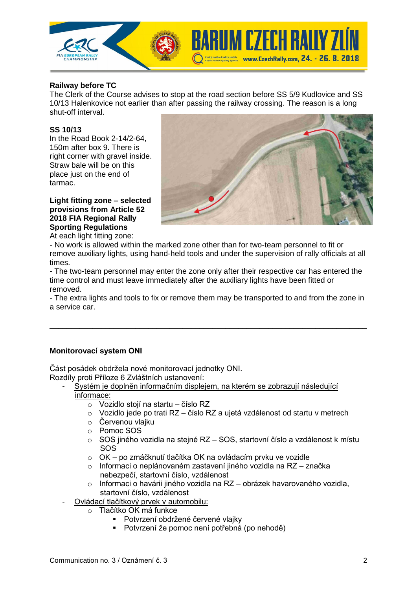

# **Railway before TC**

The Clerk of the Course advises to stop at the road section before SS 5/9 Kudlovice and SS 10/13 Halenkovice not earlier than after passing the railway crossing. The reason is a long shut-off interval.

### **SS 10/13**

In the Road Book 2-14/2-64, 150m after box 9. There is right corner with gravel inside. Straw bale will be on this place just on the end of tarmac.



#### **Light fitting zone – selected provisions from Article 52 2018 FIA Regional Rally Sporting Regulations**

At each light fitting zone:

- No work is allowed within the marked zone other than for two-team personnel to fit or remove auxiliary lights, using hand-held tools and under the supervision of rally officials at all times.

- The two-team personnel may enter the zone only after their respective car has entered the time control and must leave immediately after the auxiliary lights have been fitted or removed.

- The extra lights and tools to fix or remove them may be transported to and from the zone in a service car.

\_\_\_\_\_\_\_\_\_\_\_\_\_\_\_\_\_\_\_\_\_\_\_\_\_\_\_\_\_\_\_\_\_\_\_\_\_\_\_\_\_\_\_\_\_\_\_\_\_\_\_\_\_\_\_\_\_\_\_\_\_\_\_\_\_\_\_\_\_\_\_\_\_\_

## **Monitorovací system ONI**

Část posádek obdržela nové monitorovací jednotky ONI.

- Rozdíly proti Příloze 6 Zvláštních ustanovení:
	- Systém je doplněn informačním displejem, na kterém se zobrazují následující informace:
		- o Vozidlo stojí na startu číslo RZ
		- o Vozidlo jede po trati RZ číslo RZ a ujetá vzdálenost od startu v metrech
		- o Červenou vlajku
		- o Pomoc SOS
		- o SOS jiného vozidla na stejné RZ SOS, startovní číslo a vzdálenost k místu SOS
		- o OK po zmáčknutí tlačítka OK na ovládacím prvku ve vozidle
		- o Informaci o neplánovaném zastavení jiného vozidla na RZ značka nebezpečí, startovní číslo, vzdálenost
		- o Informaci o havárii jiného vozidla na RZ obrázek havarovaného vozidla, startovní číslo, vzdálenost
		- Ovládací tlačítkový prvek v automobilu:
			- o Tlačítko OK má funkce
				- **·** Potvrzení obdržené červené vlajky
				- Potvrzení že pomoc není potřebná (po nehodě)